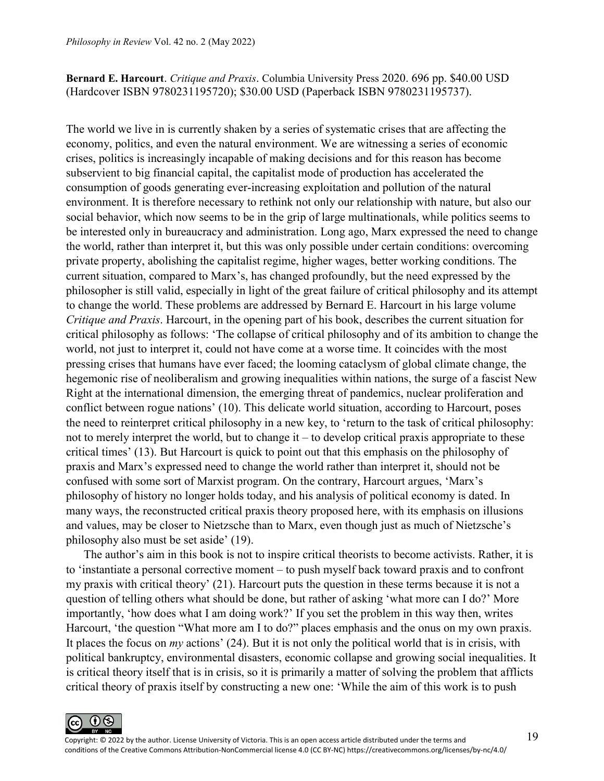## **Bernard E. Harcourt**. *Critique and Praxis*. Columbia University Press 2020. 696 pp. \$40.00 USD (Hardcover ISBN 9780231195720); \$30.00 USD (Paperback ISBN 9780231195737).

The world we live in is currently shaken by a series of systematic crises that are affecting the economy, politics, and even the natural environment. We are witnessing a series of economic crises, politics is increasingly incapable of making decisions and for this reason has become subservient to big financial capital, the capitalist mode of production has accelerated the consumption of goods generating ever-increasing exploitation and pollution of the natural environment. It is therefore necessary to rethink not only our relationship with nature, but also our social behavior, which now seems to be in the grip of large multinationals, while politics seems to be interested only in bureaucracy and administration. Long ago, Marx expressed the need to change the world, rather than interpret it, but this was only possible under certain conditions: overcoming private property, abolishing the capitalist regime, higher wages, better working conditions. The current situation, compared to Marx's, has changed profoundly, but the need expressed by the philosopher is still valid, especially in light of the great failure of critical philosophy and its attempt to change the world. These problems are addressed by Bernard E. Harcourt in his large volume *Critique and Praxis*. Harcourt, in the opening part of his book, describes the current situation for critical philosophy as follows: 'The collapse of critical philosophy and of its ambition to change the world, not just to interpret it, could not have come at a worse time. It coincides with the most pressing crises that humans have ever faced; the looming cataclysm of global climate change, the hegemonic rise of neoliberalism and growing inequalities within nations, the surge of a fascist New Right at the international dimension, the emerging threat of pandemics, nuclear proliferation and conflict between rogue nations' (10). This delicate world situation, according to Harcourt, poses the need to reinterpret critical philosophy in a new key, to 'return to the task of critical philosophy: not to merely interpret the world, but to change it – to develop critical praxis appropriate to these critical times' (13). But Harcourt is quick to point out that this emphasis on the philosophy of praxis and Marx's expressed need to change the world rather than interpret it, should not be confused with some sort of Marxist program. On the contrary, Harcourt argues, 'Marx's philosophy of history no longer holds today, and his analysis of political economy is dated. In many ways, the reconstructed critical praxis theory proposed here, with its emphasis on illusions and values, may be closer to Nietzsche than to Marx, even though just as much of Nietzsche's philosophy also must be set aside' (19).

The author's aim in this book is not to inspire critical theorists to become activists. Rather, it is to 'instantiate a personal corrective moment – to push myself back toward praxis and to confront my praxis with critical theory' (21). Harcourt puts the question in these terms because it is not a question of telling others what should be done, but rather of asking 'what more can I do?' More importantly, 'how does what I am doing work?' If you set the problem in this way then, writes Harcourt, 'the question "What more am I to do?" places emphasis and the onus on my own praxis. It places the focus on *my* actions' (24). But it is not only the political world that is in crisis, with political bankruptcy, environmental disasters, economic collapse and growing social inequalities. It is critical theory itself that is in crisis, so it is primarily a matter of solving the problem that afflicts critical theory of praxis itself by constructing a new one: 'While the aim of this work is to push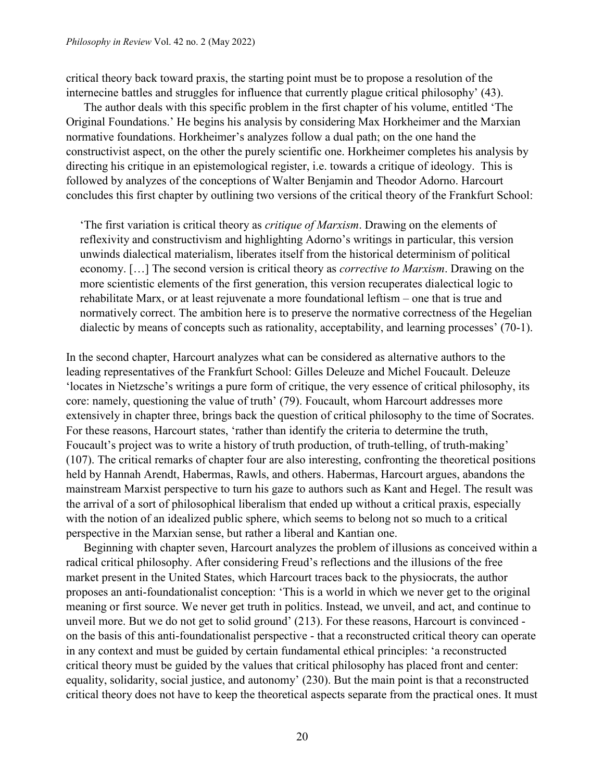critical theory back toward praxis, the starting point must be to propose a resolution of the internecine battles and struggles for influence that currently plague critical philosophy' (43).

The author deals with this specific problem in the first chapter of his volume, entitled 'The Original Foundations.' He begins his analysis by considering Max Horkheimer and the Marxian normative foundations. Horkheimer's analyzes follow a dual path; on the one hand the constructivist aspect, on the other the purely scientific one. Horkheimer completes his analysis by directing his critique in an epistemological register, i.e. towards a critique of ideology. This is followed by analyzes of the conceptions of Walter Benjamin and Theodor Adorno. Harcourt concludes this first chapter by outlining two versions of the critical theory of the Frankfurt School:

'The first variation is critical theory as *critique of Marxism*. Drawing on the elements of reflexivity and constructivism and highlighting Adorno's writings in particular, this version unwinds dialectical materialism, liberates itself from the historical determinism of political economy. […] The second version is critical theory as *corrective to Marxism*. Drawing on the more scientistic elements of the first generation, this version recuperates dialectical logic to rehabilitate Marx, or at least rejuvenate a more foundational leftism – one that is true and normatively correct. The ambition here is to preserve the normative correctness of the Hegelian dialectic by means of concepts such as rationality, acceptability, and learning processes' (70-1).

In the second chapter, Harcourt analyzes what can be considered as alternative authors to the leading representatives of the Frankfurt School: Gilles Deleuze and Michel Foucault. Deleuze 'locates in Nietzsche's writings a pure form of critique, the very essence of critical philosophy, its core: namely, questioning the value of truth' (79). Foucault, whom Harcourt addresses more extensively in chapter three, brings back the question of critical philosophy to the time of Socrates. For these reasons, Harcourt states, 'rather than identify the criteria to determine the truth, Foucault's project was to write a history of truth production, of truth-telling, of truth-making' (107). The critical remarks of chapter four are also interesting, confronting the theoretical positions held by Hannah Arendt, Habermas, Rawls, and others. Habermas, Harcourt argues, abandons the mainstream Marxist perspective to turn his gaze to authors such as Kant and Hegel. The result was the arrival of a sort of philosophical liberalism that ended up without a critical praxis, especially with the notion of an idealized public sphere, which seems to belong not so much to a critical perspective in the Marxian sense, but rather a liberal and Kantian one.

Beginning with chapter seven, Harcourt analyzes the problem of illusions as conceived within a radical critical philosophy. After considering Freud's reflections and the illusions of the free market present in the United States, which Harcourt traces back to the physiocrats, the author proposes an anti-foundationalist conception: 'This is a world in which we never get to the original meaning or first source. We never get truth in politics. Instead, we unveil, and act, and continue to unveil more. But we do not get to solid ground' (213). For these reasons, Harcourt is convinced on the basis of this anti-foundationalist perspective - that a reconstructed critical theory can operate in any context and must be guided by certain fundamental ethical principles: 'a reconstructed critical theory must be guided by the values that critical philosophy has placed front and center: equality, solidarity, social justice, and autonomy' (230). But the main point is that a reconstructed critical theory does not have to keep the theoretical aspects separate from the practical ones. It must